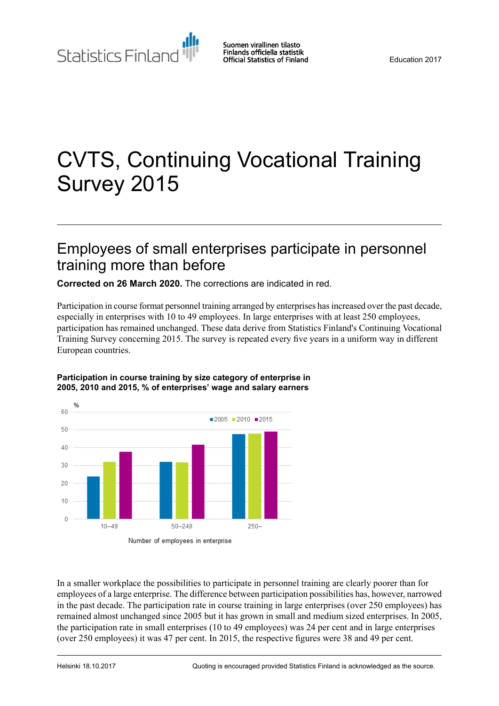Statistics Finland

# CVTS, Continuing Vocational Training Survey 2015

## Employees of small enterprises participate in personnel training more than before

**Corrected on 26 March 2020.** The corrections are indicated in red.

Participation in course format personnel training arranged by enterprises hasincreased over the past decade, especially in enterprises with 10 to 49 employees. In large enterprises with at least 250 employees, participation has remained unchanged. These data derive from Statistics Finland's Continuing Vocational Training Survey concerning 2015. The survey is repeated every five years in a uniform way in different European countries.



#### **Participation in course training by size category of enterprise in 2005, 2010 and 2015, % of enterprises' wage and salary earners**

In a smaller workplace the possibilities to participate in personnel training are clearly poorer than for employees of a large enterprise. The difference between participation possibilities has, however, narrowed in the past decade. The participation rate in course training in large enterprises (over 250 employees) has remained almost unchanged since 2005 but it has grown in small and medium sized enterprises. In 2005, the participation rate in small enterprises (10 to 49 employees) was 24 per cent and in large enterprises (over 250 employees) it was 47 per cent. In 2015, the respective figures were 38 and 49 per cent.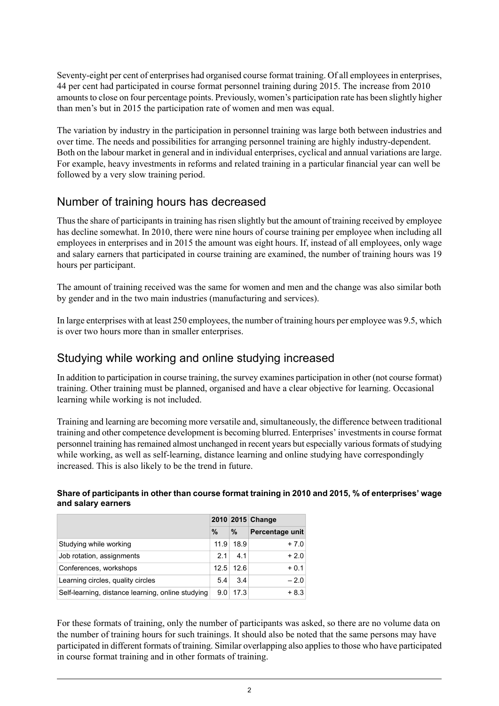Seventy-eight per cent of enterprises had organised course format training. Of all employees in enterprises, 44 per cent had participated in course format personnel training during 2015. The increase from 2010 amounts to close on four percentage points. Previously, women's participation rate has been slightly higher than men's but in 2015 the participation rate of women and men was equal.

The variation by industry in the participation in personnel training was large both between industries and over time. The needs and possibilities for arranging personnel training are highly industry-dependent. Both on the labour market in general and in individual enterprises, cyclical and annual variations are large. For example, heavy investments in reforms and related training in a particular financial year can well be followed by a very slow training period.

### Number of training hours has decreased

Thus the share of participants in training has risen slightly but the amount of training received by employee has decline somewhat. In 2010, there were nine hours of course training per employee when including all employees in enterprises and in 2015 the amount was eight hours. If, instead of all employees, only wage and salary earners that participated in course training are examined, the number of training hours was 19 hours per participant.

The amount of training received was the same for women and men and the change was also similar both by gender and in the two main industries (manufacturing and services).

In large enterprises with at least 250 employees, the number of training hours per employee was 9.5, which is over two hours more than in smaller enterprises.

### Studying while working and online studying increased

In addition to participation in course training, the survey examines participation in other (not course format) training. Other training must be planned, organised and have a clear objective for learning. Occasional learning while working is not included.

Training and learning are becoming more versatile and, simultaneously, the difference between traditional training and other competence development is becoming blurred. Enterprises' investmentsin course format personnel training has remained almost unchanged in recent years but especially various formats of studying while working, as well as self-learning, distance learning and online studying have correspondingly increased. This is also likely to be the trend in future.

#### **Share of participants in other than course format training in 2010 and 2015, % of enterprises' wage and salary earners**

|                                                   |      |             | 2010 2015 Change |  |  |
|---------------------------------------------------|------|-------------|------------------|--|--|
|                                                   | $\%$ | %           | Percentage unit  |  |  |
| Studying while working                            | 11.9 | 18.9        | $+7.0$           |  |  |
| Job rotation, assignments                         | 2.1  | 4.1         | $+2.0$           |  |  |
| Conferences, workshops                            |      | $12.5$ 12.6 | $+0.1$           |  |  |
| Learning circles, quality circles                 | 5.4  | 3.4         | $-2.0$           |  |  |
| Self-learning, distance learning, online studying | 9.0  | 17.3        | $+8.3$           |  |  |

For these formats of training, only the number of participants was asked, so there are no volume data on the number of training hours for such trainings. It should also be noted that the same persons may have participated in different formats of training. Similar overlapping also appliesto those who have participated in course format training and in other formats of training.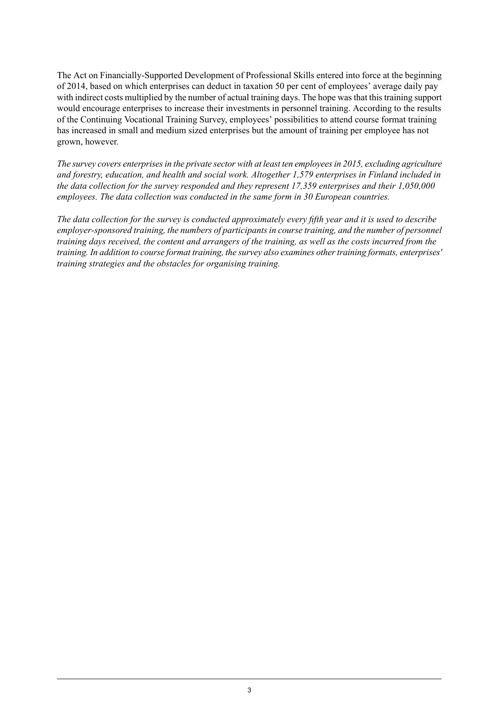The Act on Financially-Supported Development of Professional Skills entered into force at the beginning of 2014, based on which enterprises can deduct in taxation 50 per cent of employees' average daily pay with indirect costs multiplied by the number of actual training days. The hope was that this training support would encourage enterprises to increase their investments in personnel training. According to the results of the Continuing Vocational Training Survey, employees' possibilities to attend course format training has increased in small and medium sized enterprises but the amount of training per employee has not grown, however.

*The survey covers enterprisesin the private sector with at least ten employeesin 2015, excluding agriculture and forestry, education, and health and social work. Altogether 1,579 enterprises in Finland included in the data collection for the survey responded and they represent 17,359 enterprises and their 1,050,000 employees. The data collection was conducted in the same form in 30 European countries.*

The data collection for the survey is conducted approximately every fifth year and it is used to describe *employer-sponsored training, the numbers of participantsin course training, and the number of personnel* training days received, the content and arrangers of the training, as well as the costs incurred from the *training. In addition to course format training, the survey also examines othertraining formats, enterprises' training strategies and the obstacles for organising training.*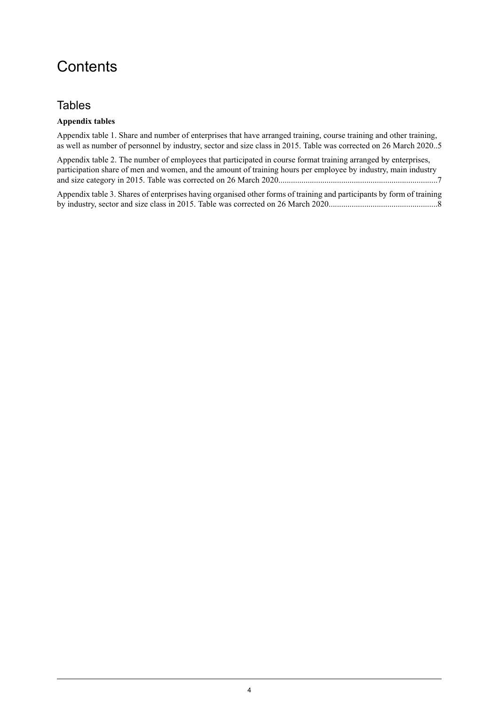# **Contents**

### **Tables**

### **Appendix tables**

Appendix table 1. Share and number of [enterprises](#page-4-0) that have arranged training, course training and other training, as well as number of [personnel](#page-4-0) by industry, sector and size class in 2015. Table was corrected on 26 March 2020..5

Appendix table 2. The number of employees that [participated](#page-6-0) in course format training arranged by enterprises, [participation](#page-6-0) share of men and women, and the amount of training hours per employee by industry, main industry and size category in 2015. Table was corrected on 26 March [2020............................................................................7](#page-6-0)

Appendix table 3. Shares of enterprises having organised other forms of training and [participants](#page-7-0) by form of training by industry, sector and size class in 2015. Table was corrected on 26 March [2020....................................................8](#page-7-0)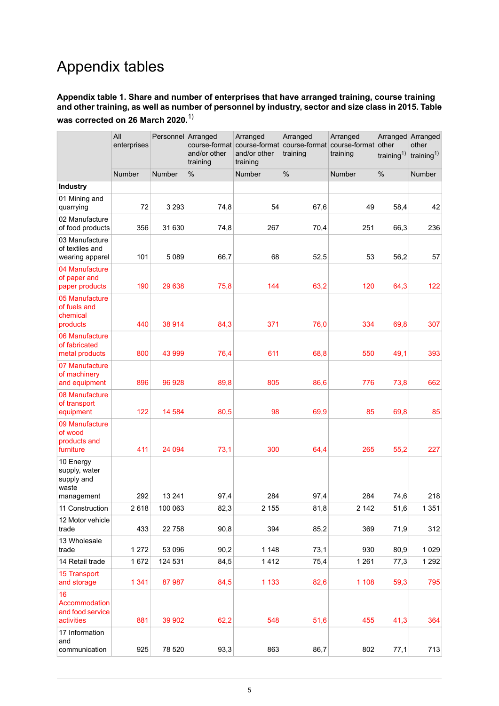# Appendix tables

#### <span id="page-4-0"></span>**Appendix table 1. Share and number of enterprises that have arranged training, course training** and other training, as well as number of personnel by industry, sector and size class in 2015. Table **was corrected on 26 March 2020.**1)

|                                                                 | All<br>enterprises | Personnel Arranged | course-format<br>and/or other<br>training | Arranged<br>and/or other<br>training | Arranged<br>course-format course-format course-format other<br>training | Arranged<br>training | Arranged Arranged<br>training <sup>1)</sup> | other<br>training <sup>1)</sup> |
|-----------------------------------------------------------------|--------------------|--------------------|-------------------------------------------|--------------------------------------|-------------------------------------------------------------------------|----------------------|---------------------------------------------|---------------------------------|
|                                                                 | <b>Number</b>      | Number             | $\%$                                      | Number                               | $\%$                                                                    | Number               | $\%$                                        | Number                          |
| Industry                                                        |                    |                    |                                           |                                      |                                                                         |                      |                                             |                                 |
| 01 Mining and<br>quarrying                                      | 72                 | 3 2 9 3            | 74,8                                      | 54                                   | 67,6                                                                    | 49                   | 58,4                                        | 42                              |
| 02 Manufacture<br>of food products                              | 356                | 31 630             | 74,8                                      | 267                                  | 70,4                                                                    | 251                  | 66,3                                        | 236                             |
| 03 Manufacture<br>of textiles and<br>wearing apparel            | 101                | 5089               | 66,7                                      | 68                                   | 52,5                                                                    | 53                   | 56,2                                        | 57                              |
| 04 Manufacture<br>of paper and<br>paper products                | 190                | 29 638             | 75,8                                      | 144                                  | 63,2                                                                    | 120                  | 64,3                                        | 122                             |
| 05 Manufacture<br>of fuels and<br>chemical                      |                    |                    |                                           |                                      |                                                                         |                      |                                             |                                 |
| products                                                        | 440                | 38 914             | 84,3                                      | 371                                  | 76,0                                                                    | 334                  | 69,8                                        | 307                             |
| 06 Manufacture<br>of fabricated<br>metal products               | 800                | 43 999             | 76,4                                      | 611                                  | 68,8                                                                    | 550                  | 49,1                                        | 393                             |
| 07 Manufacture<br>of machinery<br>and equipment                 | 896                | 96 928             | 89,8                                      | 805                                  | 86,6                                                                    | 776                  | 73,8                                        | 662                             |
| 08 Manufacture<br>of transport<br>equipment                     | 122                | 14 5 84            | 80,5                                      | 98                                   | 69,9                                                                    | 85                   | 69,8                                        | 85                              |
| 09 Manufacture<br>of wood<br>products and<br>furniture          | 411                | 24 094             | 73,1                                      | 300                                  | 64,4                                                                    | 265                  | 55,2                                        | 227                             |
| 10 Energy<br>supply, water<br>supply and<br>waste<br>management | 292                | 13 24 1            | 97,4                                      | 284                                  | 97,4                                                                    | 284                  | 74,6                                        | 218                             |
| 11 Construction                                                 | 2618               | 100 063            | 82,3                                      | 2 1 5 5                              | 81,8                                                                    | 2 1 4 2              | 51,6                                        | 1 3 5 1                         |
| 12 Motor vehicle<br>trade                                       | 433                | 22758              | 90,8                                      | 394                                  | 85,2                                                                    | 369                  | 71,9                                        | 312                             |
| 13 Wholesale<br>trade                                           | 1 2 7 2            | 53 096             | 90,2                                      | 1 1 4 8                              | 73,1                                                                    | 930                  | 80,9                                        | 1 0 2 9                         |
| 14 Retail trade                                                 | 1672               | 124 531            | 84,5                                      | 1412                                 | 75,4                                                                    | 1 2 6 1              | 77,3                                        | 1 2 9 2                         |
| 15 Transport<br>and storage                                     | 1 3 4 1            | 87 987             | 84,5                                      | 1 1 3 3                              | 82,6                                                                    | 1 1 0 8              | 59,3                                        | 795                             |
| 16<br>Accommodation<br>and food service<br>activities           | 881                | 39 902             | 62,2                                      | 548                                  | 51,6                                                                    | 455                  | 41,3                                        | 364                             |
| 17 Information<br>and<br>communication                          | 925                | 78 520             | 93,3                                      | 863                                  | 86,7                                                                    | 802                  | 77,1                                        | 713                             |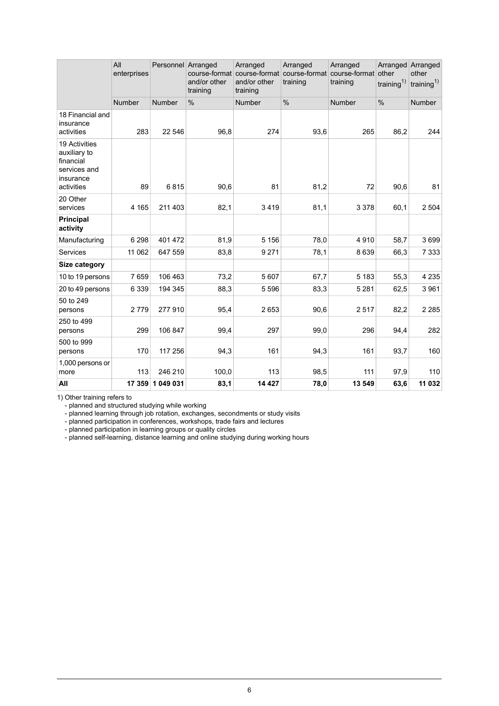|                                                                                              | All<br>enterprises | Personnel Arranged | course-format<br>and/or other<br>training | Arranged<br>course-format<br>and/or other<br>training | Arranged<br>course-format course-format<br>training | Arranged<br>training | Arranged<br>other<br>training $^{1)}$ | Arranged<br>other<br>training <sup>1)</sup> |
|----------------------------------------------------------------------------------------------|--------------------|--------------------|-------------------------------------------|-------------------------------------------------------|-----------------------------------------------------|----------------------|---------------------------------------|---------------------------------------------|
|                                                                                              | <b>Number</b>      | <b>Number</b>      | %                                         | Number                                                | $\frac{0}{0}$                                       | <b>Number</b>        | $\frac{0}{0}$                         | <b>Number</b>                               |
| 18 Financial and<br>insurance<br>activities                                                  | 283                | 22 546             | 96,8                                      | 274                                                   | 93,6                                                | 265                  | 86,2                                  | 244                                         |
| <b>19 Activities</b><br>auxiliary to<br>financial<br>services and<br>insurance<br>activities | 89                 | 6815               | 90,6                                      | 81                                                    | 81,2                                                | 72                   | 90,6                                  | 81                                          |
| 20 Other<br>services                                                                         | 4 1 6 5            | 211 403            | 82,1                                      | 3419                                                  | 81,1                                                | 3 3 7 8              | 60,1                                  | 2 504                                       |
| <b>Principal</b><br>activity                                                                 |                    |                    |                                           |                                                       |                                                     |                      |                                       |                                             |
| Manufacturing                                                                                | 6 2 9 8            | 401 472            | 81,9                                      | 5 1 5 6                                               | 78,0                                                | 4910                 | 58,7                                  | 3699                                        |
| <b>Services</b>                                                                              | 11 062             | 647 559            | 83,8                                      | 9 2 7 1                                               | 78,1                                                | 8639                 | 66,3                                  | 7 3 3 3                                     |
| Size category                                                                                |                    |                    |                                           |                                                       |                                                     |                      |                                       |                                             |
| 10 to 19 persons                                                                             | 7659               | 106 463            | 73,2                                      | 5 607                                                 | 67,7                                                | 5 1 8 3              | 55,3                                  | 4 2 3 5                                     |
| 20 to 49 persons                                                                             | 6 3 3 9            | 194 345            | 88,3                                      | 5 5 9 6                                               | 83,3                                                | 5 2 8 1              | 62,5                                  | 3 9 6 1                                     |
| 50 to 249<br>persons                                                                         | 2779               | 277910             | 95,4                                      | 2653                                                  | 90,6                                                | 2517                 | 82,2                                  | 2 2 8 5                                     |
| 250 to 499<br>persons                                                                        | 299                | 106 847            | 99,4                                      | 297                                                   | 99,0                                                | 296                  | 94,4                                  | 282                                         |
| 500 to 999<br>persons                                                                        | 170                | 117 256            | 94,3                                      | 161                                                   | 94,3                                                | 161                  | 93,7                                  | 160                                         |
| 1,000 persons or<br>more                                                                     | 113                | 246 210            | 100,0                                     | 113                                                   | 98,5                                                | 111                  | 97,9                                  | 110                                         |
| All                                                                                          | 17 359             | 1 049 031          | 83,1                                      | 14 427                                                | 78,0                                                | 13 549               | 63,6                                  | 11 032                                      |

Other training refers to 1)

- planned and structured studying while working

- planned learning through job rotation, exchanges, secondments or study visits

- planned participation in conferences, workshops, trade fairs and lectures

- planned participation in learning groups or quality circles

- planned self-learning, distance learning and online studying during working hours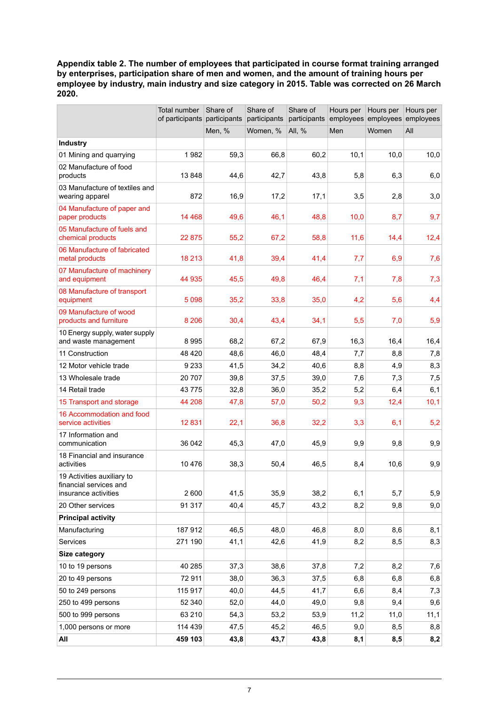<span id="page-6-0"></span>**Appendix table 2. The number of employees that participated in course format training arranged by enterprises, participation share of men and women, and the amount of training hours per employee by industry, main industry and size category in 2015. Table was corrected on 26 March 2020.**

|                                                                              | Total number<br>of participants participants | Share of | Share of<br>participants | Share of<br>participants | Hours per | Hours per<br>employees employees | Hours per<br>employees |
|------------------------------------------------------------------------------|----------------------------------------------|----------|--------------------------|--------------------------|-----------|----------------------------------|------------------------|
|                                                                              |                                              | Men, %   | Women, %                 | All, %                   | Men       | Women                            | All                    |
| Industry                                                                     |                                              |          |                          |                          |           |                                  |                        |
| 01 Mining and quarrying                                                      | 1982                                         | 59,3     | 66,8                     | 60,2                     | 10,1      | 10,0                             | 10,0                   |
| 02 Manufacture of food<br>products                                           | 13848                                        | 44,6     | 42,7                     | 43,8                     | 5,8       | 6,3                              | 6,0                    |
| 03 Manufacture of textiles and<br>wearing apparel                            | 872                                          | 16,9     | 17,2                     | 17,1                     | 3,5       | 2,8                              | 3,0                    |
| 04 Manufacture of paper and<br>paper products                                | 14 4 68                                      | 49,6     | 46,1                     | 48,8                     | 10,0      | 8,7                              | 9,7                    |
| 05 Manufacture of fuels and<br>chemical products                             | 22 875                                       | 55,2     | 67,2                     | 58,8                     | 11,6      | 14,4                             | 12,4                   |
| 06 Manufacture of fabricated<br>metal products                               | 18 213                                       | 41,8     | 39,4                     | 41,4                     | 7,7       | 6,9                              | 7,6                    |
| 07 Manufacture of machinery<br>and equipment                                 | 44 935                                       | 45,5     | 49,8                     | 46,4                     | 7,1       | 7,8                              | 7,3                    |
| 08 Manufacture of transport<br>equipment                                     | 5098                                         | 35,2     | 33,8                     | 35,0                     | 4,2       | 5,6                              | 4,4                    |
| 09 Manufacture of wood<br>products and furniture                             | 8 2 0 6                                      | 30,4     | 43,4                     | 34,1                     | 5,5       | 7,0                              | 5,9                    |
| 10 Energy supply, water supply<br>and waste management                       | 8995                                         | 68,2     | 67,2                     | 67,9                     | 16,3      | 16,4                             | 16,4                   |
| 11 Construction                                                              | 48 4 20                                      | 48,6     | 46,0                     | 48,4                     | 7,7       | 8,8                              | 7,8                    |
| 12 Motor vehicle trade                                                       | 9 2 3 3                                      | 41,5     | 34,2                     | 40,6                     | 8,8       | 4,9                              | 8,3                    |
| 13 Wholesale trade                                                           | 20 707                                       | 39,8     | 37,5                     | 39,0                     | 7,6       | 7,3                              | 7,5                    |
| 14 Retail trade                                                              | 43775                                        | 32,8     | 36,0                     | 35,2                     | 5,2       | 6,4                              | 6,1                    |
| 15 Transport and storage                                                     | 44 208                                       | 47,8     | 57,0                     | 50,2                     | 9,3       | 12,4                             | 10,1                   |
| 16 Accommodation and food<br>service activities                              | 12831                                        | 22,1     | 36,8                     | 32,2                     | 3,3       | 6,1                              | 5,2                    |
| 17 Information and<br>communication                                          | 36 042                                       | 45,3     | 47,0                     | 45,9                     | 9,9       | 9,8                              | 9,9                    |
| 18 Financial and insurance<br>activities                                     | 10 476                                       | 38,3     | 50,4                     | 46,5                     | 8,4       | 10,6                             | 9,9                    |
| 19 Activities auxiliary to<br>financial services and<br>insurance activities | 2 600                                        | 41,5     | 35,9                     | 38,2                     | 6,1       | 5,7                              | 5,9                    |
| 20 Other services                                                            | 91 317                                       | 40,4     | 45,7                     | 43,2                     | 8,2       | 9,8                              | 9,0                    |
| <b>Principal activity</b>                                                    |                                              |          |                          |                          |           |                                  |                        |
| Manufacturing                                                                | 187912                                       | 46,5     | 48,0                     | 46,8                     | 8,0       | 8,6                              | 8,1                    |
| Services                                                                     | 271 190                                      | 41,1     | 42,6                     | 41,9                     | 8,2       | 8,5                              | 8,3                    |
| Size category                                                                |                                              |          |                          |                          |           |                                  |                        |
| 10 to 19 persons                                                             | 40 285                                       | 37,3     | 38,6                     | 37,8                     | 7,2       | 8,2                              | 7,6                    |
| 20 to 49 persons                                                             | 72911                                        | 38,0     | 36,3                     | 37,5                     | 6,8       | 6,8                              | 6,8                    |
| 50 to 249 persons                                                            | 115 917                                      | 40,0     | 44,5                     | 41,7                     | 6,6       | 8,4                              | 7,3                    |
| 250 to 499 persons                                                           | 52 340                                       | 52,0     | 44,0                     | 49,0                     | 9,8       | 9,4                              | 9,6                    |
| 500 to 999 persons                                                           | 63 210                                       | 54,3     | 53,2                     | 53,9                     | 11,2      | 11,0                             | 11,1                   |
| 1,000 persons or more                                                        | 114 439                                      | 47,5     | 45,2                     | 46,5                     | 9,0       | 8,5                              | 8,8                    |
| All                                                                          | 459 103                                      | 43,8     | 43,7                     | 43,8                     | 8,1       | 8,5                              | 8,2                    |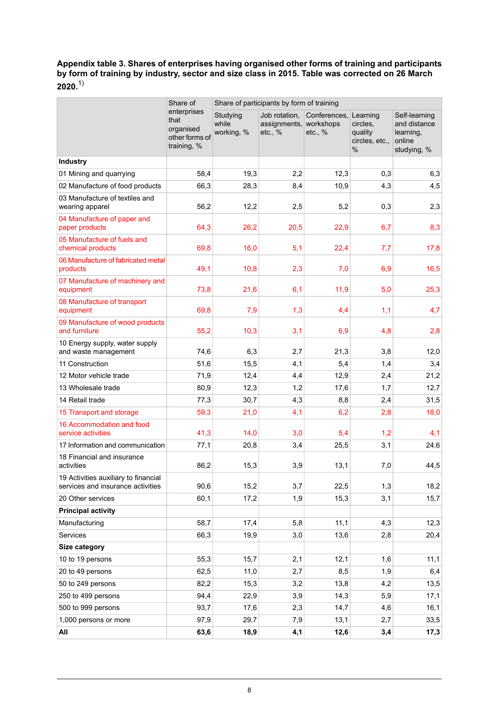<span id="page-7-0"></span>**Appendix table 3. Shares of enterprises having organised other forms of training and participants by form of training by industry, sector and size class in 2015. Table was corrected on 26 March 2020.**1)

|                                                                           | Share of                                                          | Share of participants by form of training |                                          |                                      |                                                           |                                                                     |  |  |  |
|---------------------------------------------------------------------------|-------------------------------------------------------------------|-------------------------------------------|------------------------------------------|--------------------------------------|-----------------------------------------------------------|---------------------------------------------------------------------|--|--|--|
|                                                                           | enterprises<br>that<br>organised<br>other forms of<br>training, % | Studying<br>while<br>working, %           | Job rotation,<br>assignments,<br>etc., % | Conferences,<br>workshops<br>etc., % | Learning<br>circles,<br>quality<br>circles, etc.,<br>$\%$ | Self-learning<br>and distance<br>learning,<br>online<br>studying, % |  |  |  |
| <b>Industry</b>                                                           |                                                                   |                                           |                                          |                                      |                                                           |                                                                     |  |  |  |
| 01 Mining and quarrying                                                   | 58,4                                                              | 19,3                                      | 2,2                                      | 12,3                                 | 0,3                                                       | 6,3                                                                 |  |  |  |
| 02 Manufacture of food products                                           | 66,3                                                              | 28,3                                      | 8,4                                      | 10,9                                 | 4,3                                                       | 4,5                                                                 |  |  |  |
| 03 Manufacture of textiles and<br>wearing apparel                         | 56,2                                                              | 12,2                                      | 2,5                                      | 5,2                                  | 0,3                                                       | 2,3                                                                 |  |  |  |
| 04 Manufacture of paper and<br>paper products                             | 64,3                                                              | 26,2                                      | 20,5                                     | 22,9                                 | 6,7                                                       | 8,3                                                                 |  |  |  |
| 05 Manufacture of fuels and<br>chemical products                          | 69,8                                                              | 16,0                                      | 5,1                                      | 22,4                                 | 7,7                                                       | 17,8                                                                |  |  |  |
| 06 Manufacture of fabricated metal<br>products                            | 49,1                                                              | 10,8                                      | 2,3                                      | 7,0                                  | 6,9                                                       | 16,5                                                                |  |  |  |
| 07 Manufacture of machinery and<br>equipment                              | 73,8                                                              | 21,6                                      | 6,1                                      | 11,9                                 | 5,0                                                       | 25,3                                                                |  |  |  |
| 08 Manufacture of transport<br>equipment                                  | 69,8                                                              | 7,9                                       | 1,3                                      | 4,4                                  | 1,1                                                       | 4,7                                                                 |  |  |  |
| 09 Manufacture of wood products<br>and furniture                          | 55,2                                                              | 10,3                                      | 3,1                                      | 6,9                                  | 4,8                                                       | 2,8                                                                 |  |  |  |
| 10 Energy supply, water supply<br>and waste management                    | 74,6                                                              | 6,3                                       | 2,7                                      | 21,3                                 | 3,8                                                       | 12,0                                                                |  |  |  |
| 11 Construction                                                           | 51,6                                                              | 15,5                                      | 4,1                                      | 5,4                                  | 1,4                                                       | 3,4                                                                 |  |  |  |
| 12 Motor vehicle trade                                                    | 71,9                                                              | 12,4                                      | 4,4                                      | 12,9                                 | 2,4                                                       | 21,2                                                                |  |  |  |
| 13 Wholesale trade                                                        | 80,9                                                              | 12,3                                      | 1,2                                      | 17,6                                 | 1,7                                                       | 12,7                                                                |  |  |  |
| 14 Retail trade                                                           | 77,3                                                              | 30,7                                      | 4,3                                      | 8,8                                  | 2,4                                                       | 31,5                                                                |  |  |  |
| 15 Transport and storage                                                  | 59,3                                                              | 21,0                                      | 4,1                                      | 6,2                                  | 2,8                                                       | 18,0                                                                |  |  |  |
| 16 Accommodation and food<br>service activities                           | 41,3                                                              | 14,0                                      | 3,0                                      | 5,4                                  | 1,2                                                       | 4,1                                                                 |  |  |  |
| 17 Information and communication                                          | 77,1                                                              | 20,8                                      | 3,4                                      | 25,5                                 | 3,1                                                       | 24,6                                                                |  |  |  |
| 18 Financial and insurance<br>activities                                  | 86,2                                                              | 15,3                                      | 3,9                                      | 13,1                                 | 7,0                                                       | 44,5                                                                |  |  |  |
| 19 Activities auxiliary to financial<br>services and insurance activities | 90,6                                                              | 15,2                                      | 3,7                                      | 22,5                                 | 1,3                                                       | 18,2                                                                |  |  |  |
| 20 Other services                                                         | 60,1                                                              | 17,2                                      | 1,9                                      | 15,3                                 | 3,1                                                       | 15,7                                                                |  |  |  |
| <b>Principal activity</b>                                                 |                                                                   |                                           |                                          |                                      |                                                           |                                                                     |  |  |  |
| Manufacturing                                                             | 58,7                                                              | 17,4                                      | 5,8                                      | 11,1                                 | 4,3                                                       | 12,3                                                                |  |  |  |
| Services                                                                  | 66,3                                                              | 19,9                                      | 3,0                                      | 13,6                                 | 2,8                                                       | 20,4                                                                |  |  |  |
| Size category                                                             |                                                                   |                                           |                                          |                                      |                                                           |                                                                     |  |  |  |
| 10 to 19 persons                                                          | 55,3                                                              | 15,7                                      | 2,1                                      | 12,1                                 | 1,6                                                       | 11,1                                                                |  |  |  |
| 20 to 49 persons                                                          | 62,5                                                              | 11,0                                      | 2,7                                      | 8,5                                  | 1,9                                                       | 6,4                                                                 |  |  |  |
| 50 to 249 persons                                                         | 82,2                                                              | 15,3                                      | 3,2                                      | 13,8                                 | 4,2                                                       | 13,5                                                                |  |  |  |
| 250 to 499 persons                                                        | 94,4                                                              | 22,9                                      | 3,9                                      | 14,3                                 | 5,9                                                       | 17,1                                                                |  |  |  |
| 500 to 999 persons                                                        | 93,7                                                              | 17,6                                      | 2,3                                      | 14,7                                 | 4,6                                                       | 16,1                                                                |  |  |  |
| 1,000 persons or more                                                     | 97,9                                                              | 29,7                                      | 7,9                                      | 13,1                                 | 2,7                                                       | 33,5                                                                |  |  |  |
| All                                                                       | 63,6                                                              | 18,9                                      | 4,1                                      | 12,6                                 | 3,4                                                       | 17,3                                                                |  |  |  |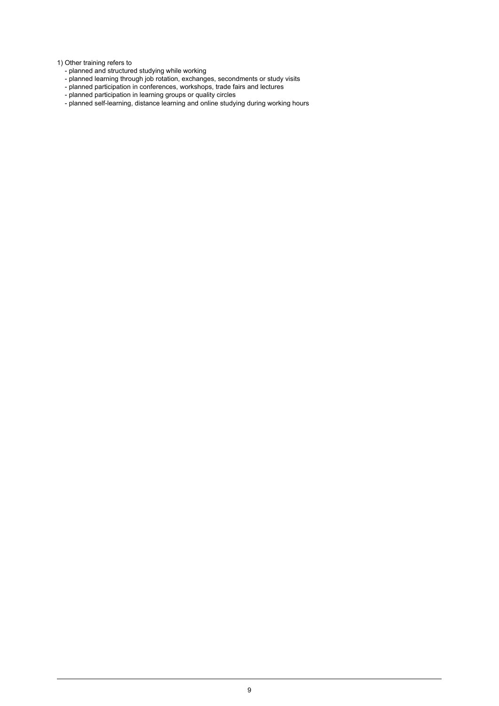Other training refers to 1)

- planned and structured studying while working
- planned learning through job rotation, exchanges, secondments or study visits
- planned participation in conferences, workshops, trade fairs and lectures
- planned participation in learning groups or quality circles
- planned self-learning, distance learning and online studying during working hours